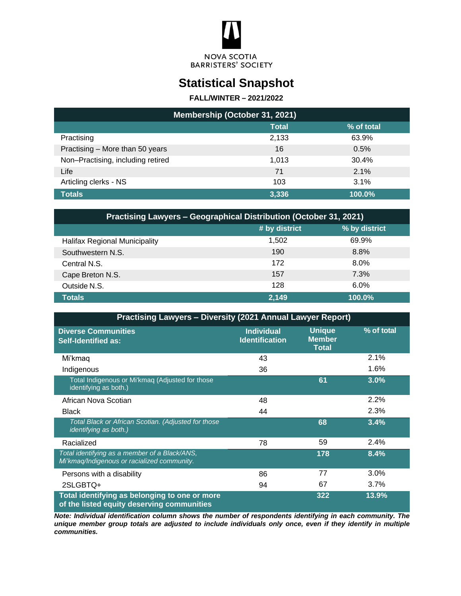

# **Statistical Snapshot**

#### **FALL/WINTER – 2021/2022**

| Membership (October 31, 2021)     |              |            |  |  |  |
|-----------------------------------|--------------|------------|--|--|--|
|                                   | <b>Total</b> | % of total |  |  |  |
| Practising                        | 2,133        | 63.9%      |  |  |  |
| Practising - More than 50 years   | 16           | 0.5%       |  |  |  |
| Non-Practising, including retired | 1.013        | 30.4%      |  |  |  |
| Life                              | 71           | 2.1%       |  |  |  |
| Articling clerks - NS             | 103          | 3.1%       |  |  |  |
| <b>Totals</b>                     | 3.336        | 100.0%     |  |  |  |

| <b>Practising Lawyers - Geographical Distribution (October 31, 2021)</b> |               |               |  |  |  |
|--------------------------------------------------------------------------|---------------|---------------|--|--|--|
|                                                                          | # by district | % by district |  |  |  |
| Halifax Regional Municipality                                            | 1.502         | 69.9%         |  |  |  |
| Southwestern N.S.                                                        | 190           | 8.8%          |  |  |  |
| Central N.S.                                                             | 172           | 8.0%          |  |  |  |
| Cape Breton N.S.                                                         | 157           | 7.3%          |  |  |  |
| Outside N.S.                                                             | 128           | $6.0\%$       |  |  |  |
| <b>Totals</b>                                                            | 2,149         | 100.0%        |  |  |  |

| <b>Practising Lawyers - Diversity (2021 Annual Lawyer Report)</b>                            |                                            |                                                |            |  |  |  |
|----------------------------------------------------------------------------------------------|--------------------------------------------|------------------------------------------------|------------|--|--|--|
| <b>Diverse Communities</b><br><b>Self-Identified as:</b>                                     | <b>Individual</b><br><b>Identification</b> | <b>Unique</b><br><b>Member</b><br><b>Total</b> | % of total |  |  |  |
| Mi'kmaq                                                                                      | 43                                         |                                                | 2.1%       |  |  |  |
| Indigenous                                                                                   | 36                                         |                                                | 1.6%       |  |  |  |
| Total Indigenous or Mi'kmaq (Adjusted for those<br>identifying as both.)                     |                                            | 61                                             | 3.0%       |  |  |  |
| African Nova Scotian                                                                         | 48                                         |                                                | 2.2%       |  |  |  |
| <b>Black</b>                                                                                 | 44                                         |                                                | 2.3%       |  |  |  |
| Total Black or African Scotian. (Adjusted for those<br>identifying as both.)                 |                                            | 68                                             | 3.4%       |  |  |  |
| Racialized                                                                                   | 78                                         | 59                                             | 2.4%       |  |  |  |
| Total identifying as a member of a Black/ANS,<br>Mi'kmaq/Indigenous or racialized community. |                                            | 178                                            | 8.4%       |  |  |  |
| Persons with a disability                                                                    | 86                                         | 77                                             | 3.0%       |  |  |  |
| 2SLGBTQ+                                                                                     | 94                                         | 67                                             | 3.7%       |  |  |  |
| Total identifying as belonging to one or more<br>of the listed equity deserving communities  |                                            | 322                                            | 13.9%      |  |  |  |

*Note: Individual identification column shows the number of respondents identifying in each community. The unique member group totals are adjusted to include individuals only once, even if they identify in multiple communities.*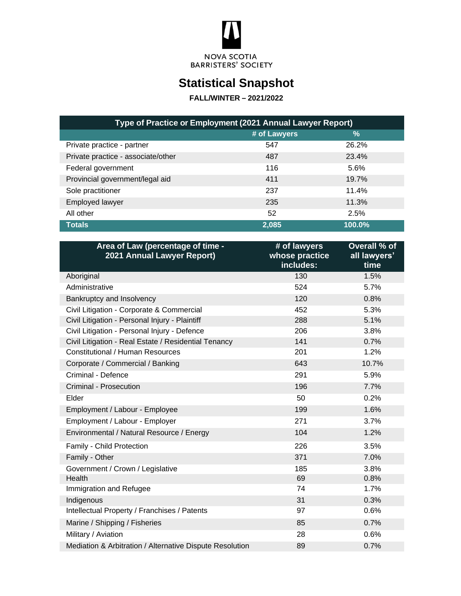

# **Statistical Snapshot**

### **FALL/WINTER – 2021/2022**

| Type of Practice or Employment (2021 Annual Lawyer Report) |              |               |  |  |  |
|------------------------------------------------------------|--------------|---------------|--|--|--|
|                                                            | # of Lawyers | $\frac{9}{6}$ |  |  |  |
| Private practice - partner                                 | 547          | 26.2%         |  |  |  |
| Private practice - associate/other                         | 487          | 23.4%         |  |  |  |
| Federal government                                         | 116          | 5.6%          |  |  |  |
| Provincial government/legal aid                            | 411          | 19.7%         |  |  |  |
| Sole practitioner                                          | 237          | 11.4%         |  |  |  |
| Employed lawyer                                            | 235          | 11.3%         |  |  |  |
| All other                                                  | 52           | 2.5%          |  |  |  |
| <b>Totals</b>                                              | 2,085        | 100.0%        |  |  |  |

| Area of Law (percentage of time -<br>2021 Annual Lawyer Report) | # of lawyers<br>whose practice<br>includes: | Overall % of<br>all lawyers'<br>time |
|-----------------------------------------------------------------|---------------------------------------------|--------------------------------------|
| Aboriginal                                                      | 130                                         | 1.5%                                 |
| Administrative                                                  | 524                                         | 5.7%                                 |
| Bankruptcy and Insolvency                                       | 120                                         | 0.8%                                 |
| Civil Litigation - Corporate & Commercial                       | 452                                         | 5.3%                                 |
| Civil Litigation - Personal Injury - Plaintiff                  | 288                                         | 5.1%                                 |
| Civil Litigation - Personal Injury - Defence                    | 206                                         | 3.8%                                 |
| Civil Litigation - Real Estate / Residential Tenancy            | 141                                         | 0.7%                                 |
| <b>Constitutional / Human Resources</b>                         | 201                                         | 1.2%                                 |
| Corporate / Commercial / Banking                                | 643                                         | 10.7%                                |
| Criminal - Defence                                              | 291                                         | 5.9%                                 |
| Criminal - Prosecution                                          | 196                                         | 7.7%                                 |
| Elder                                                           | 50                                          | 0.2%                                 |
| Employment / Labour - Employee                                  | 199                                         | 1.6%                                 |
| Employment / Labour - Employer                                  | 271                                         | 3.7%                                 |
| Environmental / Natural Resource / Energy                       | 104                                         | 1.2%                                 |
| Family - Child Protection                                       | 226                                         | 3.5%                                 |
| Family - Other                                                  | 371                                         | 7.0%                                 |
| Government / Crown / Legislative                                | 185                                         | 3.8%                                 |
| Health                                                          | 69                                          | 0.8%                                 |
| Immigration and Refugee                                         | 74                                          | 1.7%                                 |
| Indigenous                                                      | 31                                          | 0.3%                                 |
| Intellectual Property / Franchises / Patents                    | 97                                          | 0.6%                                 |
| Marine / Shipping / Fisheries                                   | 85                                          | 0.7%                                 |
| Military / Aviation                                             | 28                                          | 0.6%                                 |
| Mediation & Arbitration / Alternative Dispute Resolution        | 89                                          | 0.7%                                 |